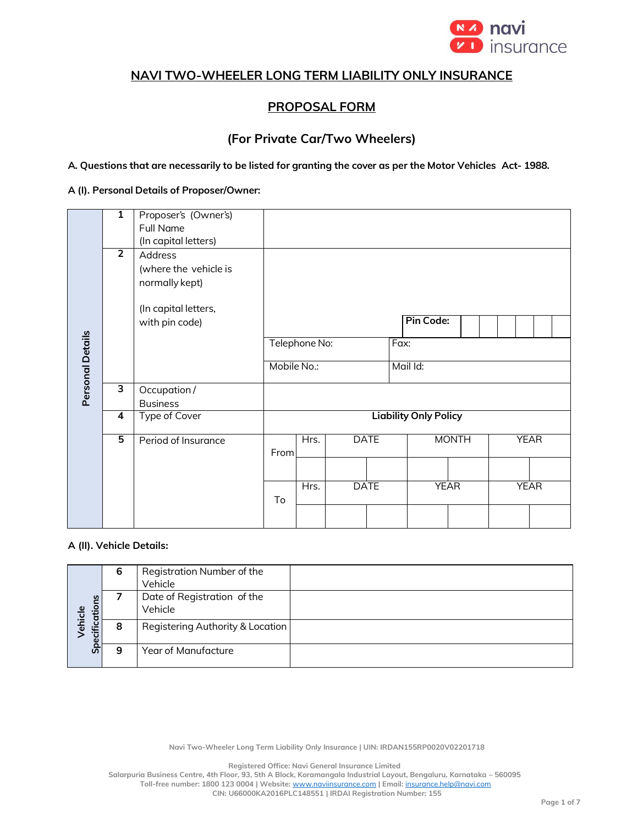

# **NAVI TWO-WHEELER LONG TERM LIABILITY ONLY INSURANCE**

## **PROPOSAL FORM**

# **(For Private Car/Two Wheelers)**

A. Questions that are necessarily to be listed for granting the cover as per the Motor Vehicles Act-1988.

### **A (I). Personal Details of Proposer/Owner:**

|                  | $\overline{1}$ | Proposer's (Owner's)<br>Full Name<br>(In capital letters)                  |               |      |             |  |                              |              |             |             |  |  |
|------------------|----------------|----------------------------------------------------------------------------|---------------|------|-------------|--|------------------------------|--------------|-------------|-------------|--|--|
|                  | $\overline{2}$ | Address<br>(where the vehicle is<br>normally kept)<br>(In capital letters, |               |      |             |  |                              |              |             |             |  |  |
|                  |                | with pin code)                                                             |               |      |             |  | <b>Pin Code:</b>             |              |             |             |  |  |
|                  |                |                                                                            | Telephone No: |      |             |  | Fax:                         |              |             |             |  |  |
| Personal Details |                |                                                                            | Mobile No.:   |      |             |  | Mail Id:                     |              |             |             |  |  |
|                  | 3              | Occupation /<br><b>Business</b>                                            |               |      |             |  |                              |              |             |             |  |  |
|                  | 4              | <b>Type of Cover</b>                                                       |               |      |             |  | <b>Liability Only Policy</b> |              |             |             |  |  |
|                  | 5              | Period of Insurance                                                        | From          | Hrs. | <b>DATE</b> |  |                              | <b>MONTH</b> |             | <b>YEAR</b> |  |  |
|                  |                |                                                                            |               |      |             |  |                              |              |             |             |  |  |
|                  |                |                                                                            | To            | Hrs. | <b>DATE</b> |  | <b>YEAR</b>                  |              | <b>YEAR</b> |             |  |  |
|                  |                |                                                                            |               |      |             |  |                              |              |             |             |  |  |

### **A (II). Vehicle Details:**

|                          | 6 | Registration Number of the<br>Vehicle  |  |
|--------------------------|---|----------------------------------------|--|
|                          |   | Date of Registration of the<br>Vehicle |  |
| Specifications<br>ehicle | 8 | Registering Authority & Location       |  |
|                          | 9 | Year of Manufacture                    |  |

**Navi Two-Wheeler Long Term Liability Only Insurance | UIN: IRDAN155RP0020V02201718**

**Registered Office: Navi General Insurance Limited**

**Salarpuria Business Centre, 4th Floor, 93, 5th A Block, Koramangala Industrial Layout, Bengaluru, Karnataka – 560095 Toll-free number: 1800 123 0004 | Website:** [www.naviinsurance.com](http://www.naviinsurance.com/) **| Email:** [insurance.help@navi.com](mailto:insurance.help@navi.com)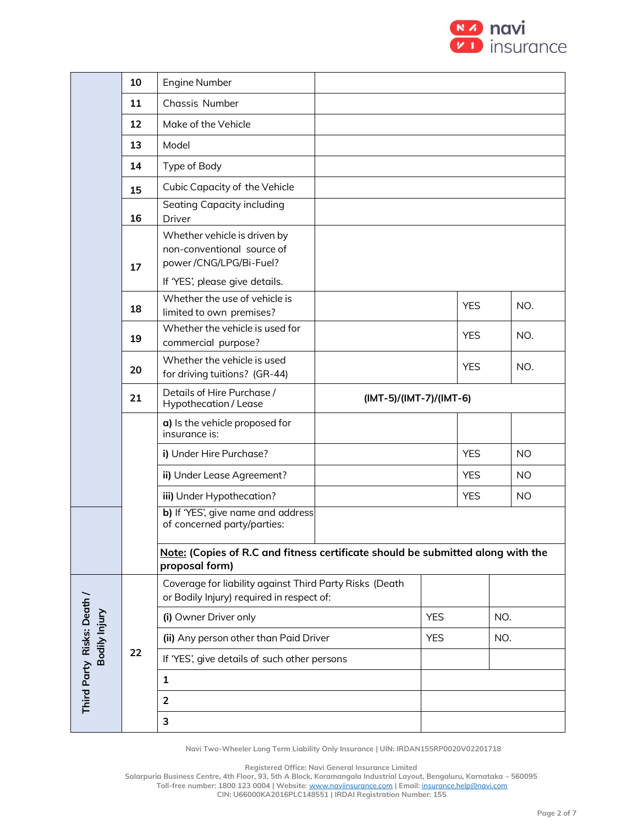

|                                             | 10                        | <b>Engine Number</b>                                                                                                   |            |                         |            |           |  |  |
|---------------------------------------------|---------------------------|------------------------------------------------------------------------------------------------------------------------|------------|-------------------------|------------|-----------|--|--|
|                                             | 11                        | Chassis Number                                                                                                         |            |                         |            |           |  |  |
|                                             | 12                        | Make of the Vehicle                                                                                                    |            |                         |            |           |  |  |
|                                             | 13                        | Model                                                                                                                  |            |                         |            |           |  |  |
|                                             | 14                        | Type of Body                                                                                                           |            |                         |            |           |  |  |
|                                             | 15                        | Cubic Capacity of the Vehicle                                                                                          |            |                         |            |           |  |  |
|                                             | 16                        | Seating Capacity including<br>Driver                                                                                   |            |                         |            |           |  |  |
|                                             | 17                        | Whether vehicle is driven by<br>non-conventional source of<br>power/CNG/LPG/Bi-Fuel?<br>If 'YES', please give details. |            |                         |            |           |  |  |
|                                             | 18                        | Whether the use of vehicle is<br>limited to own premises?                                                              |            | <b>YES</b>              |            | NO.       |  |  |
|                                             | 19                        | Whether the vehicle is used for<br>commercial purpose?                                                                 | <b>YES</b> |                         | NO.        |           |  |  |
|                                             | 20                        | Whether the vehicle is used<br>for driving tuitions? (GR-44)                                                           | <b>YES</b> |                         | NO.        |           |  |  |
|                                             | 21                        | Details of Hire Purchase /<br>Hypothecation / Lease                                                                    |            | (IMT-5)/(IMT-7)/(IMT-6) |            |           |  |  |
|                                             |                           | a) Is the vehicle proposed for<br>insurance is:                                                                        |            |                         |            |           |  |  |
|                                             |                           | i) Under Hire Purchase?                                                                                                |            | <b>YES</b>              |            | <b>NO</b> |  |  |
|                                             |                           | ii) Under Lease Agreement?                                                                                             |            | <b>YES</b>              |            | NO.       |  |  |
|                                             | iii) Under Hypothecation? |                                                                                                                        |            |                         | <b>YES</b> | <b>NO</b> |  |  |
|                                             |                           | b) If 'YES', give name and address<br>of concerned party/parties:                                                      |            |                         |            |           |  |  |
|                                             |                           | Note: (Copies of R.C and fitness certificate should be submitted along with the<br>proposal form)                      |            |                         |            |           |  |  |
|                                             |                           | Coverage for liability against Third Party Risks (Death<br>or Bodily Injury) required in respect of:                   |            |                         |            |           |  |  |
|                                             |                           | (i) Owner Driver only                                                                                                  |            | <b>YES</b>              | NO.        |           |  |  |
|                                             |                           | (ii) Any person other than Paid Driver                                                                                 |            | <b>YES</b>              | NO.        |           |  |  |
|                                             | 22                        | If 'YES', give details of such other persons                                                                           |            |                         |            |           |  |  |
| Third Party Risks: Death /<br>Bodily Injury |                           | 1                                                                                                                      |            |                         |            |           |  |  |
|                                             |                           | $\overline{2}$                                                                                                         |            |                         |            |           |  |  |
|                                             |                           | 3                                                                                                                      |            |                         |            |           |  |  |

**Registered Office: Navi General Insurance Limited**

**Salarpuria Business Centre, 4th Floor, 93, 5th A Block, Koramangala Industrial Layout, Bengaluru, Karnataka – 560095 Toll-free number: 1800 123 0004 | Website:** [www.naviinsurance.com](http://www.naviinsurance.com/) **| Email:** [insurance.help@navi.com](mailto:insurance.help@navi.com)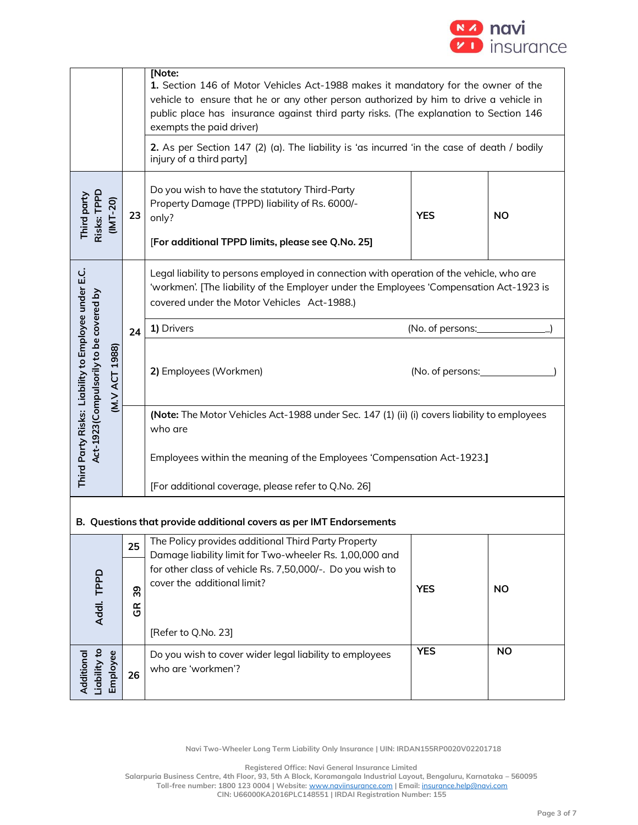

|                                                                                                                                                                                                                                    |                               | [Note:<br>1. Section 146 of Motor Vehicles Act-1988 makes it mandatory for the owner of the<br>vehicle to ensure that he or any other person authorized by him to drive a vehicle in<br>public place has insurance against third party risks. (The explanation to Section 146<br>exempts the paid driver)<br>2. As per Section 147 (2) (a). The liability is 'as incurred 'in the case of death / bodily<br>injury of a third party] |                  |           |  |  |  |  |  |  |
|------------------------------------------------------------------------------------------------------------------------------------------------------------------------------------------------------------------------------------|-------------------------------|--------------------------------------------------------------------------------------------------------------------------------------------------------------------------------------------------------------------------------------------------------------------------------------------------------------------------------------------------------------------------------------------------------------------------------------|------------------|-----------|--|--|--|--|--|--|
| Risks: TPPD<br>Third party<br>$(INT-20)$                                                                                                                                                                                           | 23                            | Do you wish to have the statutory Third-Party<br>Property Damage (TPPD) liability of Rs. 6000/-<br><b>YES</b><br><b>NO</b><br>only?<br>[For additional TPPD limits, please see Q.No. 25]                                                                                                                                                                                                                                             |                  |           |  |  |  |  |  |  |
| Legal liability to persons employed in connection with operation of the vehicle, who are<br>'workmen'. [The liability of the Employer under the Employees 'Compensation Act-1923 is<br>covered under the Motor Vehicles Act-1988.) |                               |                                                                                                                                                                                                                                                                                                                                                                                                                                      |                  |           |  |  |  |  |  |  |
|                                                                                                                                                                                                                                    | 24                            | 1) Drivers                                                                                                                                                                                                                                                                                                                                                                                                                           | (No. of persons: |           |  |  |  |  |  |  |
| Third Party Risks: Liability to Employee under E.C.<br>Act-1923(Compulsorily to be covered by<br>M.V ACT 1988)                                                                                                                     |                               | 2) Employees (Workmen)<br>(No. of persons:                                                                                                                                                                                                                                                                                                                                                                                           |                  |           |  |  |  |  |  |  |
|                                                                                                                                                                                                                                    |                               | (Note: The Motor Vehicles Act-1988 under Sec. 147 (1) (ii) (i) covers liability to employees<br>who are                                                                                                                                                                                                                                                                                                                              |                  |           |  |  |  |  |  |  |
|                                                                                                                                                                                                                                    |                               | Employees within the meaning of the Employees 'Compensation Act-1923.]                                                                                                                                                                                                                                                                                                                                                               |                  |           |  |  |  |  |  |  |
|                                                                                                                                                                                                                                    |                               | [For additional coverage, please refer to Q.No. 26]                                                                                                                                                                                                                                                                                                                                                                                  |                  |           |  |  |  |  |  |  |
| B. Questions that provide additional covers as per IMT Endorsements                                                                                                                                                                |                               |                                                                                                                                                                                                                                                                                                                                                                                                                                      |                  |           |  |  |  |  |  |  |
|                                                                                                                                                                                                                                    | 25                            | The Policy provides additional Third Party Property<br>Damage liability limit for Two-wheeler Rs. 1,00,000 and                                                                                                                                                                                                                                                                                                                       |                  |           |  |  |  |  |  |  |
|                                                                                                                                                                                                                                    |                               | for other class of vehicle Rs. 7,50,000/-. Do you wish to                                                                                                                                                                                                                                                                                                                                                                            |                  |           |  |  |  |  |  |  |
| Addl. TPPD                                                                                                                                                                                                                         | 39<br>$\frac{\alpha}{\sigma}$ | cover the additional limit?                                                                                                                                                                                                                                                                                                                                                                                                          | <b>YES</b>       | <b>NO</b> |  |  |  |  |  |  |
|                                                                                                                                                                                                                                    |                               | [Refer to Q.No. 23]                                                                                                                                                                                                                                                                                                                                                                                                                  |                  |           |  |  |  |  |  |  |
| -iability to<br>Employee<br>Additiona                                                                                                                                                                                              | 26                            | <b>YES</b><br><b>NO</b><br>Do you wish to cover wider legal liability to employees<br>who are 'workmen'?                                                                                                                                                                                                                                                                                                                             |                  |           |  |  |  |  |  |  |

**Registered Office: Navi General Insurance Limited**

**Salarpuria Business Centre, 4th Floor, 93, 5th A Block, Koramangala Industrial Layout, Bengaluru, Karnataka – 560095**

**Toll-free number: 1800 123 0004 | Website:** [www.naviinsurance.com](http://www.naviinsurance.com/) **| Email:** [insurance.help@navi.com](mailto:insurance.help@navi.com)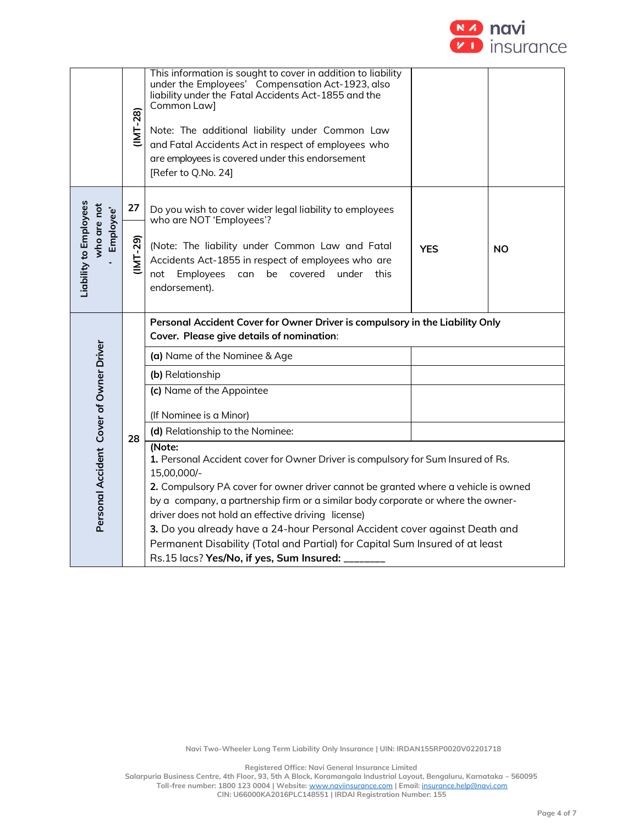

|                                                    | $11M - 28$ | This information is sought to cover in addition to liability<br>under the Employees' Compensation Act-1923, also<br>liability under the Fatal Accidents Act-1855 and the<br>Common Law]<br>Note: The additional liability under Common Law<br>and Fatal Accidents Act in respect of employees who<br>are employees is covered under this endorsement<br>[Refer to Q.No. 24]                                              |            |           |
|----------------------------------------------------|------------|--------------------------------------------------------------------------------------------------------------------------------------------------------------------------------------------------------------------------------------------------------------------------------------------------------------------------------------------------------------------------------------------------------------------------|------------|-----------|
|                                                    | 27         | Do you wish to cover wider legal liability to employees<br>who are NOT 'Employees'?                                                                                                                                                                                                                                                                                                                                      |            |           |
| Liability to Employees<br>who are not<br>Employee' | (IMT-29)   | (Note: The liability under Common Law and Fatal<br>Accidents Act-1855 in respect of employees who are<br>not Employees<br>be covered under this<br>can<br>endorsement).                                                                                                                                                                                                                                                  | <b>YES</b> | <b>NO</b> |
|                                                    |            | Personal Accident Cover for Owner Driver is compulsory in the Liability Only<br>Cover. Please give details of nomination:                                                                                                                                                                                                                                                                                                |            |           |
|                                                    |            | (a) Name of the Nominee & Age                                                                                                                                                                                                                                                                                                                                                                                            |            |           |
|                                                    |            | (b) Relationship                                                                                                                                                                                                                                                                                                                                                                                                         |            |           |
|                                                    |            | (c) Name of the Appointee                                                                                                                                                                                                                                                                                                                                                                                                |            |           |
|                                                    |            | (If Nominee is a Minor)                                                                                                                                                                                                                                                                                                                                                                                                  |            |           |
|                                                    | 28         | (d) Relationship to the Nominee:<br>(Note:                                                                                                                                                                                                                                                                                                                                                                               |            |           |
| Personal Accident Cover of Owner Driver            |            | 1. Personal Accident cover for Owner Driver is compulsory for Sum Insured of Rs.<br>2. Compulsory PA cover for owner driver cannot be granted where a vehicle is owned<br>by a company, a partnership firm or a similar body corporate or where the owner-<br>3. Do you already have a 24-hour Personal Accident cover against Death and<br>Permanent Disability (Total and Partial) for Capital Sum Insured of at least |            |           |

**Registered Office: Navi General Insurance Limited**

**Salarpuria Business Centre, 4th Floor, 93, 5th A Block, Koramangala Industrial Layout, Bengaluru, Karnataka – 560095 Toll-free number: 1800 123 0004 | Website:** [www.naviinsurance.com](http://www.naviinsurance.com/) **| Email:** [insurance.help@navi.com](mailto:insurance.help@navi.com)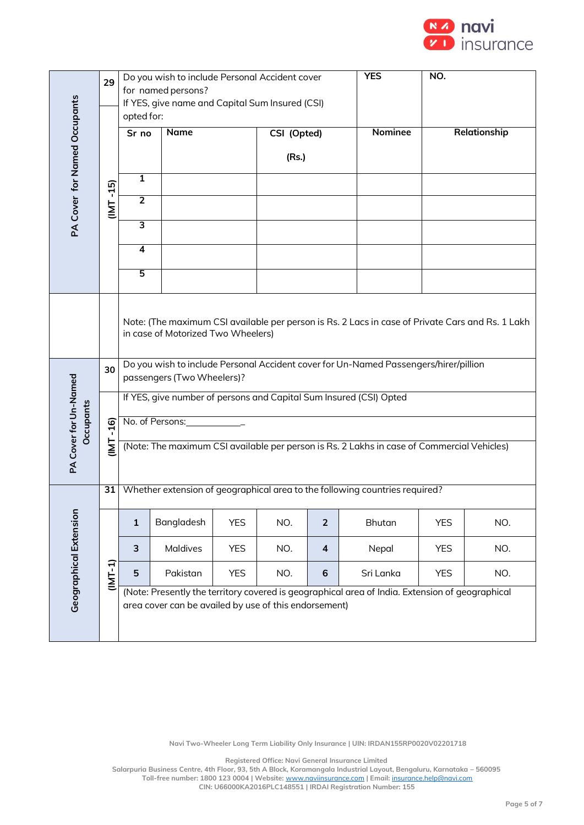

|                                    | 29           | Do you wish to include Personal Accident cover                                             |                                                                                                                                                                                                                                                                                                                                    |            |             |                         | <b>YES</b>     | NO.        |              |  |
|------------------------------------|--------------|--------------------------------------------------------------------------------------------|------------------------------------------------------------------------------------------------------------------------------------------------------------------------------------------------------------------------------------------------------------------------------------------------------------------------------------|------------|-------------|-------------------------|----------------|------------|--------------|--|
| PA Cover for Named Occupants       |              |                                                                                            | for named persons?<br>If YES, give name and Capital Sum Insured (CSI)                                                                                                                                                                                                                                                              |            |             |                         |                |            |              |  |
|                                    |              | opted for:                                                                                 |                                                                                                                                                                                                                                                                                                                                    |            |             |                         |                |            |              |  |
|                                    |              | Sr no                                                                                      | <b>Name</b>                                                                                                                                                                                                                                                                                                                        |            | CSI (Opted) |                         | <b>Nominee</b> |            | Relationship |  |
|                                    |              |                                                                                            |                                                                                                                                                                                                                                                                                                                                    |            | (Rs.)       |                         |                |            |              |  |
|                                    |              | 1                                                                                          |                                                                                                                                                                                                                                                                                                                                    |            |             |                         |                |            |              |  |
|                                    | (INT-15)     | $\overline{2}$                                                                             |                                                                                                                                                                                                                                                                                                                                    |            |             |                         |                |            |              |  |
|                                    |              | $\overline{\mathbf{3}}$                                                                    |                                                                                                                                                                                                                                                                                                                                    |            |             |                         |                |            |              |  |
|                                    |              | 4                                                                                          |                                                                                                                                                                                                                                                                                                                                    |            |             |                         |                |            |              |  |
|                                    |              | 5                                                                                          |                                                                                                                                                                                                                                                                                                                                    |            |             |                         |                |            |              |  |
| PA Cover for Un-Named<br>Occupants | 30           | No. of Persons:                                                                            | Note: (The maximum CSI available per person is Rs. 2 Lacs in case of Private Cars and Rs. 1 Lakh<br>in case of Motorized Two Wheelers)<br>Do you wish to include Personal Accident cover for Un-Named Passengers/hirer/pillion<br>passengers (Two Wheelers)?<br>If YES, give number of persons and Capital Sum Insured (CSI) Opted |            |             |                         |                |            |              |  |
|                                    | $-16$<br>IML | (Note: The maximum CSI available per person is Rs. 2 Lakhs in case of Commercial Vehicles) |                                                                                                                                                                                                                                                                                                                                    |            |             |                         |                |            |              |  |
|                                    | 31           |                                                                                            | Whether extension of geographical area to the following countries required?                                                                                                                                                                                                                                                        |            |             |                         |                |            |              |  |
| Geographical Extension             |              | $\mathbf{1}$                                                                               | Bangladesh                                                                                                                                                                                                                                                                                                                         | <b>YES</b> | NO.         | $\overline{2}$          | <b>Bhutan</b>  | <b>YES</b> | NO.          |  |
|                                    |              | 3                                                                                          | Maldives                                                                                                                                                                                                                                                                                                                           | <b>YES</b> | NO.         | $\overline{\mathbf{4}}$ | Nepal          | <b>YES</b> | NO.          |  |
|                                    | (IMT-1)      | 5                                                                                          | Pakistan                                                                                                                                                                                                                                                                                                                           | <b>YES</b> | NO.         | 6                       | Sri Lanka      | <b>YES</b> | NO.          |  |
|                                    |              |                                                                                            | (Note: Presently the territory covered is geographical area of India. Extension of geographical<br>area cover can be availed by use of this endorsement)                                                                                                                                                                           |            |             |                         |                |            |              |  |

**Registered Office: Navi General Insurance Limited**

**Salarpuria Business Centre, 4th Floor, 93, 5th A Block, Koramangala Industrial Layout, Bengaluru, Karnataka – 560095 Toll-free number: 1800 123 0004 | Website:** [www.naviinsurance.com](http://www.naviinsurance.com/) **| Email:** [insurance.help@navi.com](mailto:insurance.help@navi.com) **CIN: U66000KA2016PLC148551 | IRDAI Registration Number: 155**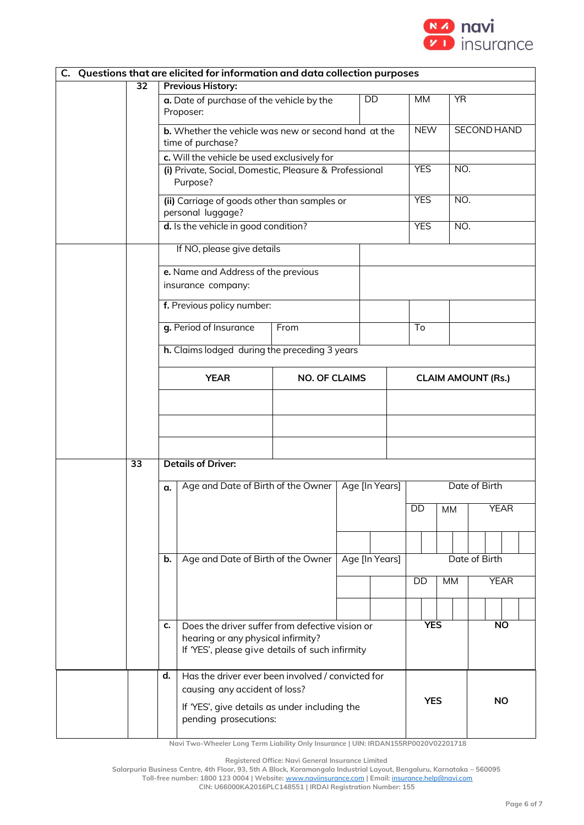

| C. Questions that are elicited for information and data collection purposes |                                                            |                                                                                       |      |  |                           |               |               |                    |  |             |  |  |
|-----------------------------------------------------------------------------|------------------------------------------------------------|---------------------------------------------------------------------------------------|------|--|---------------------------|---------------|---------------|--------------------|--|-------------|--|--|
| 32                                                                          | <b>Previous History:</b>                                   |                                                                                       |      |  |                           |               |               |                    |  |             |  |  |
|                                                                             |                                                            | a. Date of purchase of the vehicle by the<br>Proposer:                                |      |  | DD                        | MM            |               | <b>YR</b>          |  |             |  |  |
|                                                                             |                                                            | <b>b.</b> Whether the vehicle was new or second hand at the<br>time of purchase?      |      |  |                           |               | <b>NEW</b>    | <b>SECOND HAND</b> |  |             |  |  |
|                                                                             |                                                            | c. Will the vehicle be used exclusively for                                           |      |  |                           |               |               |                    |  |             |  |  |
|                                                                             |                                                            | (i) Private, Social, Domestic, Pleasure & Professional<br>Purpose?                    |      |  |                           |               | <b>YES</b>    | NO.                |  |             |  |  |
|                                                                             |                                                            | (ii) Carriage of goods other than samples or<br>personal luggage?                     |      |  |                           |               | <b>YES</b>    | NO.                |  |             |  |  |
|                                                                             |                                                            | d. Is the vehicle in good condition?                                                  |      |  |                           |               | <b>YES</b>    | NO.                |  |             |  |  |
|                                                                             |                                                            | If NO, please give details                                                            |      |  |                           |               |               |                    |  |             |  |  |
|                                                                             |                                                            | e. Name and Address of the previous                                                   |      |  |                           |               |               |                    |  |             |  |  |
|                                                                             |                                                            | insurance company:                                                                    |      |  |                           |               |               |                    |  |             |  |  |
|                                                                             |                                                            | f. Previous policy number:                                                            |      |  |                           |               |               |                    |  |             |  |  |
|                                                                             |                                                            | g. Period of Insurance                                                                | From |  |                           | To            |               |                    |  |             |  |  |
|                                                                             |                                                            | h. Claims lodged during the preceding 3 years                                         |      |  |                           |               |               |                    |  |             |  |  |
|                                                                             |                                                            | <b>YEAR</b><br><b>NO. OF CLAIMS</b>                                                   |      |  | <b>CLAIM AMOUNT (Rs.)</b> |               |               |                    |  |             |  |  |
|                                                                             |                                                            |                                                                                       |      |  |                           |               |               |                    |  |             |  |  |
|                                                                             |                                                            |                                                                                       |      |  |                           |               |               |                    |  |             |  |  |
|                                                                             |                                                            |                                                                                       |      |  |                           |               |               |                    |  |             |  |  |
| 33                                                                          |                                                            | <b>Details of Driver:</b>                                                             |      |  |                           |               |               |                    |  |             |  |  |
|                                                                             | α.                                                         | Age and Date of Birth of the Owner                                                    |      |  | Age [In Years]            |               | Date of Birth |                    |  |             |  |  |
|                                                                             |                                                            |                                                                                       |      |  |                           | DD            | <b>MM</b>     |                    |  | <b>YEAR</b> |  |  |
|                                                                             |                                                            |                                                                                       |      |  |                           |               |               |                    |  |             |  |  |
|                                                                             | Age and Date of Birth of the Owner<br>Age [In Years]<br>b. |                                                                                       |      |  |                           | Date of Birth |               |                    |  |             |  |  |
|                                                                             |                                                            |                                                                                       |      |  |                           | DD            | <b>MM</b>     |                    |  | <b>YEAR</b> |  |  |
|                                                                             |                                                            |                                                                                       |      |  |                           |               |               |                    |  |             |  |  |
|                                                                             | c.                                                         | Does the driver suffer from defective vision or<br>hearing or any physical infirmity? |      |  |                           |               | <b>YES</b>    | <b>NO</b>          |  |             |  |  |
|                                                                             |                                                            | If 'YES', please give details of such infirmity                                       |      |  |                           |               |               |                    |  |             |  |  |
|                                                                             | d.                                                         | Has the driver ever been involved / convicted for<br>causing any accident of loss?    |      |  |                           |               |               |                    |  |             |  |  |
|                                                                             |                                                            | If 'YES', give details as under including the                                         |      |  |                           |               | <b>YES</b>    |                    |  | <b>NO</b>   |  |  |
|                                                                             | pending prosecutions:                                      |                                                                                       |      |  |                           |               |               |                    |  |             |  |  |

**Registered Office: Navi General Insurance Limited**

**Salarpuria Business Centre, 4th Floor, 93, 5th A Block, Koramangala Industrial Layout, Bengaluru, Karnataka – 560095 Toll-free number: 1800 123 0004 | Website:** [www.naviinsurance.com](http://www.naviinsurance.com/) **| Email:** [insurance.help@navi.com](mailto:insurance.help@navi.com)